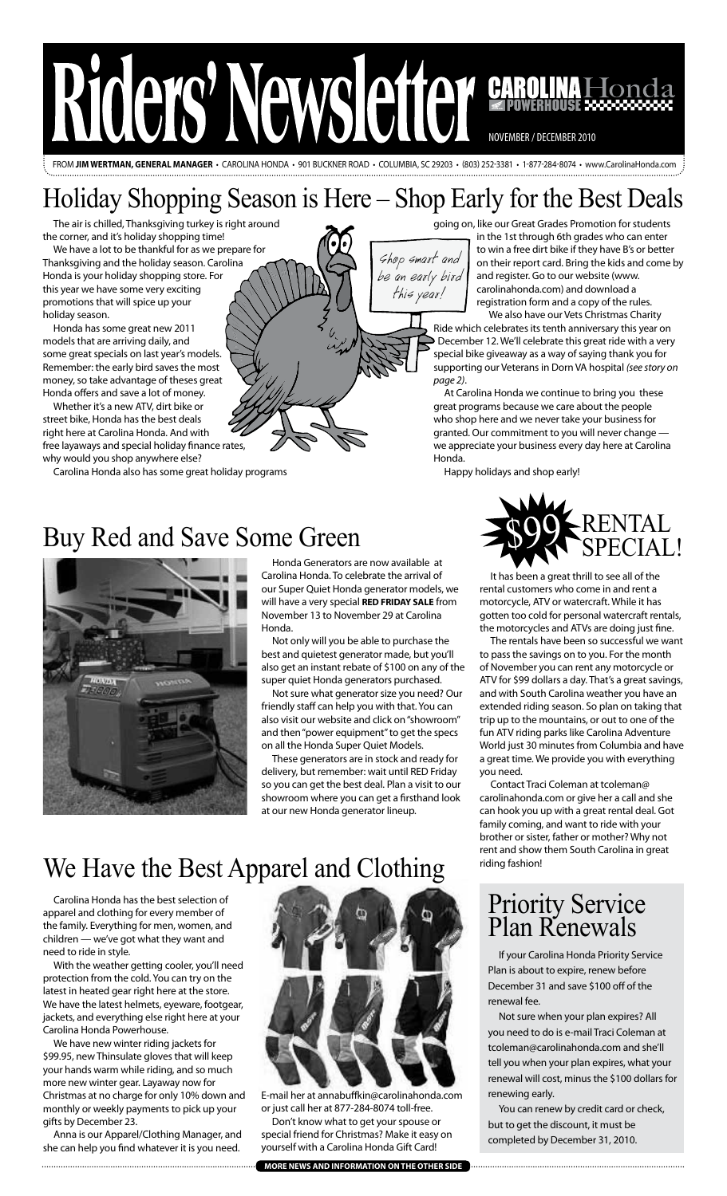

from **Jim wertman, general manager** • carolina honda • 901 Buckner Road • Columbia, SC 29203 • (803) 252-3381 • 1-877-284-8074 • www.CarolinaHonda.com

## Holiday Shopping Season is Here – Shop Early for the Best Deals

Shop smart and be an early bird this year!

The air is chilled, Thanksgiving turkey is right around the corner, and it's holiday shopping time!

We have a lot to be thankful for as we prepare for Thanksgiving and the holiday season. Carolina Honda is your holiday shopping store. For this year we have some very exciting promotions that will spice up your holiday season.

Honda has some great new 2011 models that are arriving daily, and some great specials on last year's models. Remember: the early bird saves the most money, so take advantage of theses great Honda offers and save a lot of money.

Whether it's a new ATV, dirt bike or street bike, Honda has the best deals right here at Carolina Honda. And with free layaways and special holiday finance rates, why would you shop anywhere else?

Carolina Honda also has some great holiday programs

going on, like our Great Grades Promotion for students

 in the 1st through 6th grades who can enter to win a free dirt bike if they have B's or better on their report card. Bring the kids and come by and register. Go to our website (www. carolinahonda.com) and download a registration form and a copy of the rules.

 We also have our Vets Christmas Charity Ride which celebrates its tenth anniversary this year on December 12. We'll celebrate this great ride with a very special bike giveaway as a way of saying thank you for supporting our Veterans in Dorn VA hospital *(see story on page 2)*.

At Carolina Honda we continue to bring you these great programs because we care about the people who shop here and we never take your business for granted. Our commitment to you will never change we appreciate your business every day here at Carolina Honda.

Happy holidays and shop early!

# Buy Red and Save Some Green 500 RENTAL



Honda Generators are now available at Carolina Honda. To celebrate the arrival of our Super Quiet Honda generator models, we will have a very special **RED FRIDAY SALE** from November 13 to November 29 at Carolina Honda.

Not only will you be able to purchase the best and quietest generator made, but you'll also get an instant rebate of \$100 on any of the super quiet Honda generators purchased.

Not sure what generator size you need? Our friendly staff can help you with that. You can also visit our website and click on "showroom" and then "power equipment" to get the specs on all the Honda Super Quiet Models.

These generators are in stock and ready for delivery, but remember: wait until RED Friday so you can get the best deal. Plan a visit to our showroom where you can get a firsthand look at our new Honda generator lineup.

### We Have the Best Apparel and Clothing

Carolina Honda has the best selection of apparel and clothing for every member of the family. Everything for men, women, and children — we've got what they want and need to ride in style.

With the weather getting cooler, you'll need protection from the cold. You can try on the latest in heated gear right here at the store. We have the latest helmets, eyeware, footgear, jackets, and everything else right here at your Carolina Honda Powerhouse.

We have new winter riding jackets for \$99.95, new Thinsulate gloves that will keep your hands warm while riding, and so much more new winter gear. Layaway now for Christmas at no charge for only 10% down and monthly or weekly payments to pick up your gifts by December 23.

Anna is our Apparel/Clothing Manager, and she can help you find whatever it is you need.



E-mail her at annabuffkin@carolinahonda.com or just call her at 877-284-8074 toll-free. Don't know what to get your spouse or

special friend for Christmas? Make it easy on yourself with a Carolina Honda Gift Card!

# special!

It has been a great thrill to see all of the rental customers who come in and rent a motorcycle, ATV or watercraft. While it has gotten too cold for personal watercraft rentals, the motorcycles and ATVs are doing just fine.

The rentals have been so successful we want to pass the savings on to you. For the month of November you can rent any motorcycle or ATV for \$99 dollars a day. That's a great savings, and with South Carolina weather you have an extended riding season. So plan on taking that trip up to the mountains, or out to one of the fun ATV riding parks like Carolina Adventure World just 30 minutes from Columbia and have a great time. We provide you with everything you need.

Contact Traci Coleman at tcoleman@ carolinahonda.com or give her a call and she can hook you up with a great rental deal. Got family coming, and want to ride with your brother or sister, father or mother? Why not rent and show them South Carolina in great riding fashion!

### Priority Service Plan Renewals

If your Carolina Honda Priority Service Plan is about to expire, renew before December 31 and save \$100 off of the renewal fee.

Not sure when your plan expires? All you need to do is e-mail Traci Coleman at tcoleman@carolinahonda.com and she'll tell you when your plan expires, what your renewal will cost, minus the \$100 dollars for renewing early.

You can renew by credit card or check, but to get the discount, it must be completed by December 31, 2010.